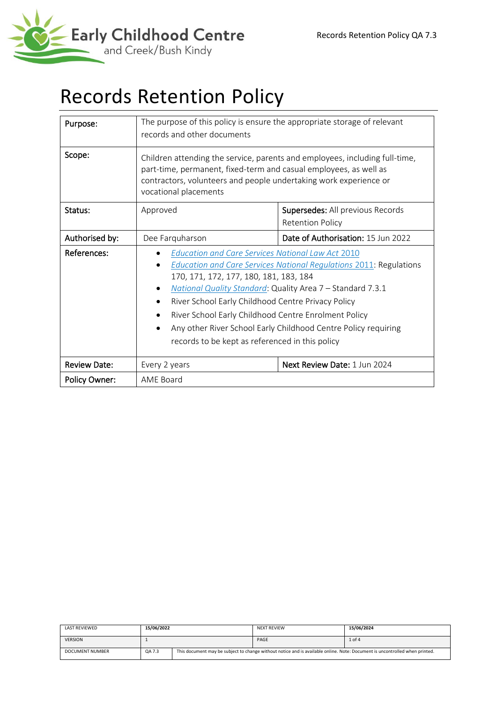

# Records Retention Policy

| Purpose:<br>Scope:  | The purpose of this policy is ensure the appropriate storage of relevant<br>records and other documents                                                                                                                                                                                                                                                                                                                                                                                       |                                    |  |
|---------------------|-----------------------------------------------------------------------------------------------------------------------------------------------------------------------------------------------------------------------------------------------------------------------------------------------------------------------------------------------------------------------------------------------------------------------------------------------------------------------------------------------|------------------------------------|--|
|                     | Children attending the service, parents and employees, including full-time,<br>part-time, permanent, fixed-term and casual employees, as well as<br>contractors, volunteers and people undertaking work experience or<br>vocational placements                                                                                                                                                                                                                                                |                                    |  |
| Status:             | Approved                                                                                                                                                                                                                                                                                                                                                                                                                                                                                      | Supersedes: All previous Records   |  |
|                     |                                                                                                                                                                                                                                                                                                                                                                                                                                                                                               | <b>Retention Policy</b>            |  |
| Authorised by:      | Dee Farquharson                                                                                                                                                                                                                                                                                                                                                                                                                                                                               | Date of Authorisation: 15 Jun 2022 |  |
| References:         | <b>Education and Care Services National Law Act 2010</b><br><b>Education and Care Services National Regulations 2011: Regulations</b><br>170, 171, 172, 177, 180, 181, 183, 184<br>National Quality Standard: Quality Area 7 - Standard 7.3.1<br>$\bullet$<br>River School Early Childhood Centre Privacy Policy<br>River School Early Childhood Centre Enrolment Policy<br>Any other River School Early Childhood Centre Policy requiring<br>records to be kept as referenced in this policy |                                    |  |
| <b>Review Date:</b> | Next Review Date: 1 Jun 2024<br>Every 2 years                                                                                                                                                                                                                                                                                                                                                                                                                                                 |                                    |  |
| Policy Owner:       | AME Board                                                                                                                                                                                                                                                                                                                                                                                                                                                                                     |                                    |  |

| LAST REVIEWED   | 15/06/2022 |                                                                                                                             | <b>NEXT REVIEW</b> | 15/06/2024 |
|-----------------|------------|-----------------------------------------------------------------------------------------------------------------------------|--------------------|------------|
| <b>VERSION</b>  |            |                                                                                                                             | PAGE               | $1$ of $4$ |
| DOCUMENT NUMBER | QA 7.3     | This document may be subject to change without notice and is available online. Note: Document is uncontrolled when printed. |                    |            |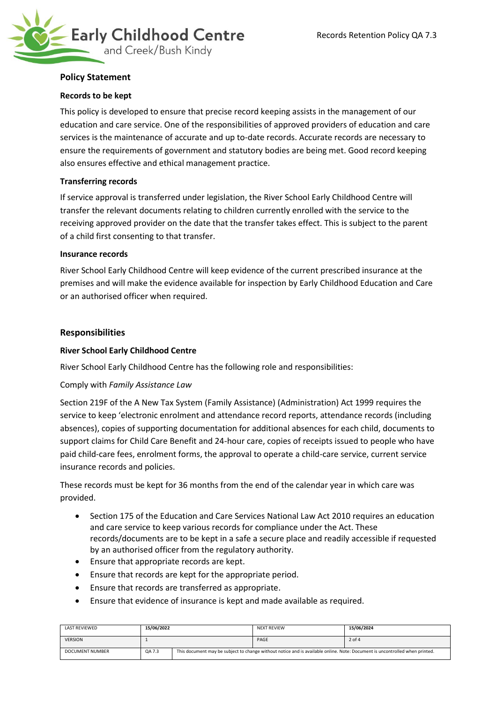

# **Policy Statement**

# **Records to be kept**

This policy is developed to ensure that precise record keeping assists in the management of our education and care service. One of the responsibilities of approved providers of education and care services is the maintenance of accurate and up to-date records. Accurate records are necessary to ensure the requirements of government and statutory bodies are being met. Good record keeping also ensures effective and ethical management practice.

## **Transferring records**

If service approval is transferred under legislation, the River School Early Childhood Centre will transfer the relevant documents relating to children currently enrolled with the service to the receiving approved provider on the date that the transfer takes effect. This is subject to the parent of a child first consenting to that transfer.

#### **Insurance records**

River School Early Childhood Centre will keep evidence of the current prescribed insurance at the premises and will make the evidence available for inspection by Early Childhood Education and Care or an authorised officer when required.

## **Responsibilities**

# **River School Early Childhood Centre**

River School Early Childhood Centre has the following role and responsibilities:

#### Comply with *Family Assistance Law*

Section 219F of the A New Tax System (Family Assistance) (Administration) Act 1999 requires the service to keep 'electronic enrolment and attendance record reports, attendance records (including absences), copies of supporting documentation for additional absences for each child, documents to support claims for Child Care Benefit and 24-hour care, copies of receipts issued to people who have paid child-care fees, enrolment forms, the approval to operate a child-care service, current service insurance records and policies.

These records must be kept for 36 months from the end of the calendar year in which care was provided.

- Section 175 of the Education and Care Services National Law Act 2010 requires an education and care service to keep various records for compliance under the Act. These records/documents are to be kept in a safe a secure place and readily accessible if requested by an authorised officer from the regulatory authority.
- Ensure that appropriate records are kept.
- Ensure that records are kept for the appropriate period.
- Ensure that records are transferred as appropriate.
- Ensure that evidence of insurance is kept and made available as required.

| LAST REVIEWED          | 15/06/2022 |                                                                                                                             | <b>NEXT REVIEW</b> | 15/06/2024 |
|------------------------|------------|-----------------------------------------------------------------------------------------------------------------------------|--------------------|------------|
| <b>VERSION</b>         |            |                                                                                                                             | PAGE               | $2$ of $4$ |
| <b>DOCUMENT NUMBER</b> | QA 7.3     | This document may be subject to change without notice and is available online. Note: Document is uncontrolled when printed. |                    |            |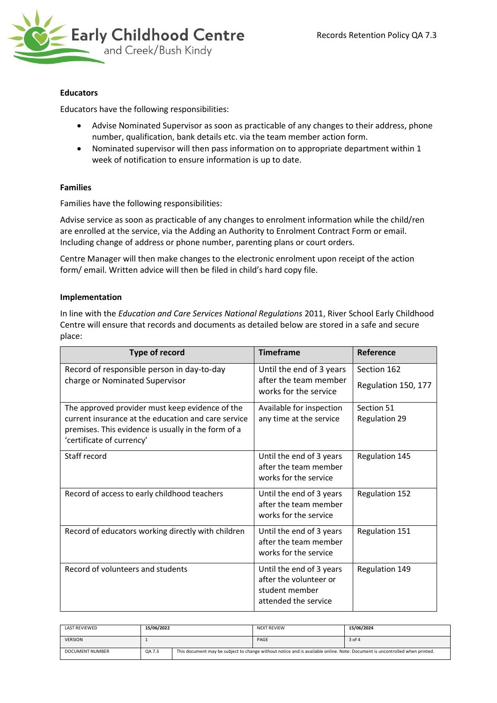

# **Educators**

Educators have the following responsibilities:

- Advise Nominated Supervisor as soon as practicable of any changes to their address, phone number, qualification, bank details etc. via the team member action form.
- Nominated supervisor will then pass information on to appropriate department within 1 week of notification to ensure information is up to date.

## **Families**

Families have the following responsibilities:

Advise service as soon as practicable of any changes to enrolment information while the child/ren are enrolled at the service, via the Adding an Authority to Enrolment Contract Form or email. Including change of address or phone number, parenting plans or court orders.

Centre Manager will then make changes to the electronic enrolment upon receipt of the action form/ email. Written advice will then be filed in child's hard copy file.

## **Implementation**

In line with the *[Education and Care Services National Regulations](http://www.legislation.nsw.gov.au/sessionalview/sessional/subordleg/2011-653.pdf)* 2011, River School Early Childhood Centre will ensure that records and documents as detailed below are stored in a safe and secure place:

| <b>Type of record</b>                                                                                                                   | <b>Timeframe</b>                                                                             | Reference            |
|-----------------------------------------------------------------------------------------------------------------------------------------|----------------------------------------------------------------------------------------------|----------------------|
| Record of responsible person in day-to-day                                                                                              | Until the end of 3 years                                                                     | Section 162          |
| charge or Nominated Supervisor                                                                                                          | after the team member<br>works for the service                                               | Regulation 150, 177  |
| The approved provider must keep evidence of the                                                                                         | Available for inspection                                                                     | Section 51           |
| current insurance at the education and care service<br>premises. This evidence is usually in the form of a<br>'certificate of currency' | any time at the service                                                                      | <b>Regulation 29</b> |
| Staff record                                                                                                                            | Until the end of 3 years<br>after the team member<br>works for the service                   | Regulation 145       |
| Record of access to early childhood teachers                                                                                            | Until the end of 3 years<br>after the team member<br>works for the service                   | Regulation 152       |
| Record of educators working directly with children                                                                                      | Until the end of 3 years<br>after the team member<br>works for the service                   | Regulation 151       |
| Record of volunteers and students                                                                                                       | Until the end of 3 years<br>after the volunteer or<br>student member<br>attended the service | Regulation 149       |

| LAST REVIEWED   | 15/06/2022 |                                                                                                                             | <b>NEXT REVIEW</b> | 15/06/2024 |
|-----------------|------------|-----------------------------------------------------------------------------------------------------------------------------|--------------------|------------|
| <b>VERSION</b>  |            |                                                                                                                             | PAGE               | 3 of 4     |
| DOCUMENT NUMBER | QA 7.3     | This document may be subject to change without notice and is available online. Note: Document is uncontrolled when printed. |                    |            |